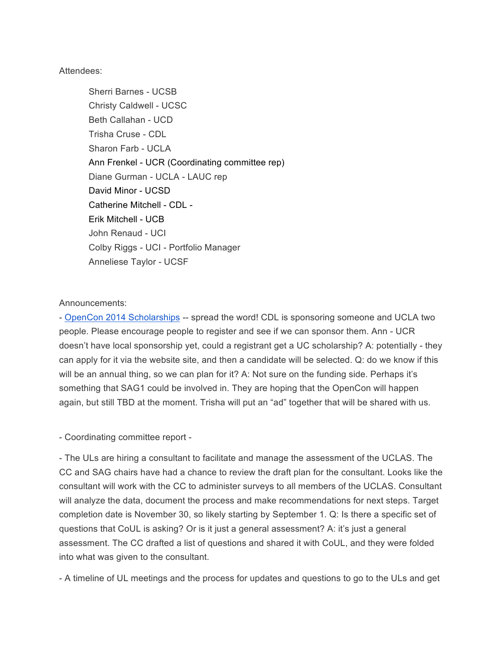#### Attendees:

Sherri Barnes - UCSB Christy Caldwell - UCSC Beth Callahan - UCD Trisha Cruse - CDL Sharon Farb - UCLA Ann Frenkel - UCR (Coordinating committee rep) Diane Gurman - UCLA - LAUC rep David Minor - UCSD Catherine Mitchell - CDL - Erik Mitchell - UCB John Renaud - UCI Colby Riggs - UCI - Portfolio Manager Anneliese Taylor - UCSF

#### Announcements:

- OpenCon 2014 Scholarships -- spread the word! CDL is sponsoring someone and UCLA two people. Please encourage people to register and see if we can sponsor them. Ann - UCR doesn't have local sponsorship yet, could a registrant get a UC scholarship? A: potentially - they can apply for it via the website site, and then a candidate will be selected. Q: do we know if this will be an annual thing, so we can plan for it? A: Not sure on the funding side. Perhaps it's something that SAG1 could be involved in. They are hoping that the OpenCon will happen again, but still TBD at the moment. Trisha will put an "ad" together that will be shared with us.

- Coordinating committee report -

- The ULs are hiring a consultant to facilitate and manage the assessment of the UCLAS. The CC and SAG chairs have had a chance to review the draft plan for the consultant. Looks like the consultant will work with the CC to administer surveys to all members of the UCLAS. Consultant will analyze the data, document the process and make recommendations for next steps. Target completion date is November 30, so likely starting by September 1. Q: Is there a specific set of questions that CoUL is asking? Or is it just a general assessment? A: it's just a general assessment. The CC drafted a list of questions and shared it with CoUL, and they were folded into what was given to the consultant.

- A timeline of UL meetings and the process for updates and questions to go to the ULs and get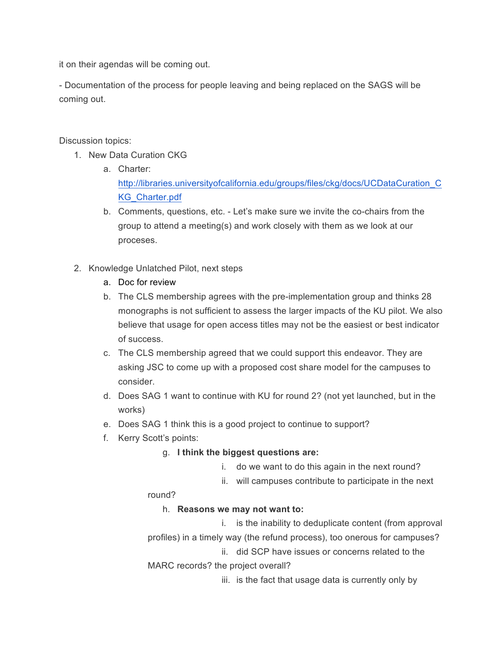it on their agendas will be coming out.

- Documentation of the process for people leaving and being replaced on the SAGS will be coming out.

Discussion topics:

- 1. New Data Curation CKG
	- a. Charter: http://libraries.universityofcalifornia.edu/groups/files/ckg/docs/UCDataCuration\_C KG\_Charter.pdf
	- b. Comments, questions, etc. Let's make sure we invite the co-chairs from the group to attend a meeting(s) and work closely with them as we look at our proceses.
- 2. Knowledge Unlatched Pilot, next steps
	- a. Doc for review
	- b. The CLS membership agrees with the pre-implementation group and thinks 28 monographs is not sufficient to assess the larger impacts of the KU pilot. We also believe that usage for open access titles may not be the easiest or best indicator of success.
	- c. The CLS membership agreed that we could support this endeavor. They are asking JSC to come up with a proposed cost share model for the campuses to consider.
	- d. Does SAG 1 want to continue with KU for round 2? (not yet launched, but in the works)
	- e. Does SAG 1 think this is a good project to continue to support?
	- f. Kerry Scott's points:

# g. **I think the biggest questions are:**

- i. do we want to do this again in the next round?
- ii. will campuses contribute to participate in the next

round?

# h. **Reasons we may not want to:**

i. is the inability to deduplicate content (from approval profiles) in a timely way (the refund process), too onerous for campuses?

ii. did SCP have issues or concerns related to the MARC records? the project overall?

iii. is the fact that usage data is currently only by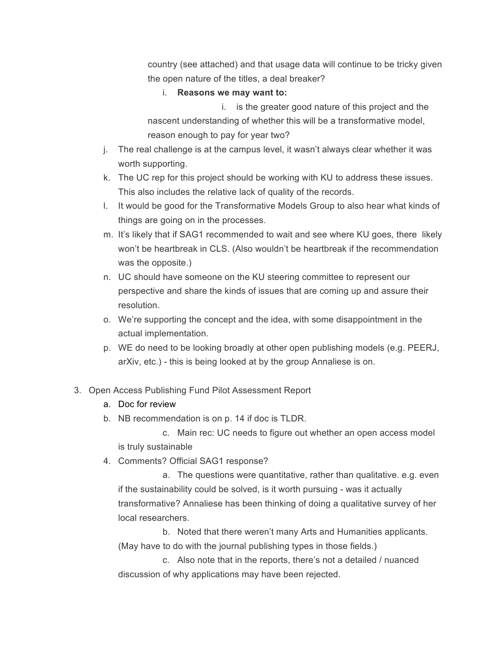country (see attached) and that usage data will continue to be tricky given the open nature of the titles, a deal breaker?

#### i. **Reasons we may want to:**

i. is the greater good nature of this project and the nascent understanding of whether this will be a transformative model, reason enough to pay for year two?

- j. The real challenge is at the campus level, it wasn't always clear whether it was worth supporting.
- k. The UC rep for this project should be working with KU to address these issues. This also includes the relative lack of quality of the records.
- l. It would be good for the Transformative Models Group to also hear what kinds of things are going on in the processes.
- m. It's likely that if SAG1 recommended to wait and see where KU goes, there likely won't be heartbreak in CLS. (Also wouldn't be heartbreak if the recommendation was the opposite.)
- n. UC should have someone on the KU steering committee to represent our perspective and share the kinds of issues that are coming up and assure their resolution.
- o. We're supporting the concept and the idea, with some disappointment in the actual implementation.
- p. WE do need to be looking broadly at other open publishing models (e.g. PEERJ, arXiv, etc.) - this is being looked at by the group Annaliese is on.
- 3. Open Access Publishing Fund Pilot Assessment Report
	- a. Doc for review
	- b. NB recommendation is on p. 14 if doc is TLDR.

c. Main rec: UC needs to figure out whether an open access model is truly sustainable

4. Comments? Official SAG1 response?

a. The questions were quantitative, rather than qualitative. e.g. even if the sustainability could be solved, is it worth pursuing - was it actually transformative? Annaliese has been thinking of doing a qualitative survey of her local researchers.

b. Noted that there weren't many Arts and Humanities applicants. (May have to do with the journal publishing types in those fields.)

c. Also note that in the reports, there's not a detailed / nuanced discussion of why applications may have been rejected.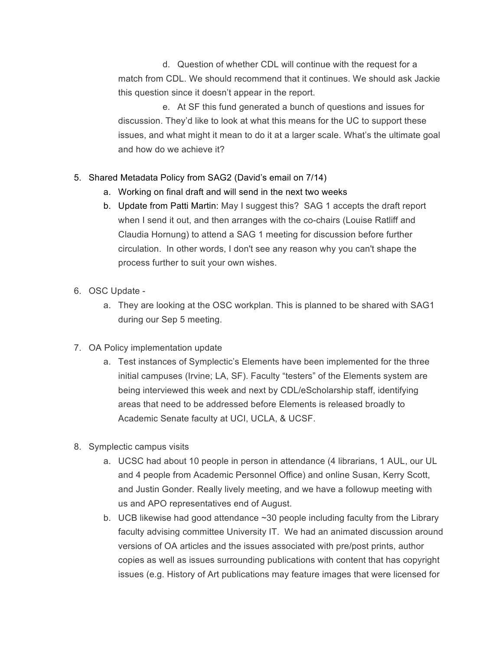d. Question of whether CDL will continue with the request for a match from CDL. We should recommend that it continues. We should ask Jackie this question since it doesn't appear in the report.

e. At SF this fund generated a bunch of questions and issues for discussion. They'd like to look at what this means for the UC to support these issues, and what might it mean to do it at a larger scale. What's the ultimate goal and how do we achieve it?

# 5. Shared Metadata Policy from SAG2 (David's email on 7/14)

- a. Working on final draft and will send in the next two weeks
- b. Update from Patti Martin: May I suggest this? SAG 1 accepts the draft report when I send it out, and then arranges with the co-chairs (Louise Ratliff and Claudia Hornung) to attend a SAG 1 meeting for discussion before further circulation. In other words, I don't see any reason why you can't shape the process further to suit your own wishes.
- 6. OSC Update
	- a. They are looking at the OSC workplan. This is planned to be shared with SAG1 during our Sep 5 meeting.
- 7. OA Policy implementation update
	- a. Test instances of Symplectic's Elements have been implemented for the three initial campuses (Irvine; LA, SF). Faculty "testers" of the Elements system are being interviewed this week and next by CDL/eScholarship staff, identifying areas that need to be addressed before Elements is released broadly to Academic Senate faculty at UCI, UCLA, & UCSF.
- 8. Symplectic campus visits
	- a. UCSC had about 10 people in person in attendance (4 librarians, 1 AUL, our UL and 4 people from Academic Personnel Office) and online Susan, Kerry Scott, and Justin Gonder. Really lively meeting, and we have a followup meeting with us and APO representatives end of August.
	- b. UCB likewise had good attendance ~30 people including faculty from the Library faculty advising committee University IT. We had an animated discussion around versions of OA articles and the issues associated with pre/post prints, author copies as well as issues surrounding publications with content that has copyright issues (e.g. History of Art publications may feature images that were licensed for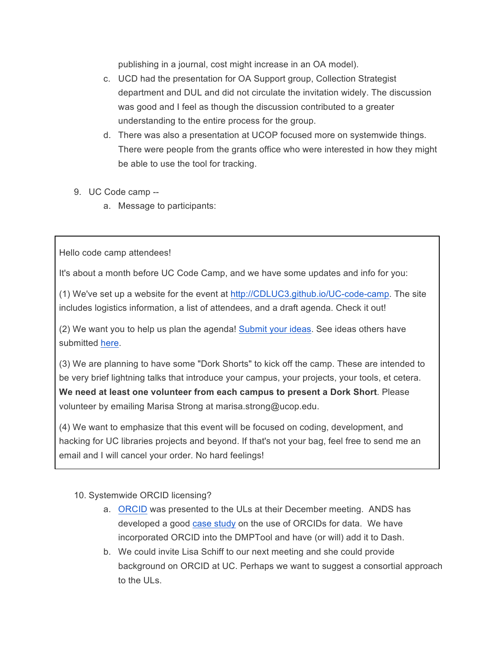publishing in a journal, cost might increase in an OA model).

- c. UCD had the presentation for OA Support group, Collection Strategist department and DUL and did not circulate the invitation widely. The discussion was good and I feel as though the discussion contributed to a greater understanding to the entire process for the group.
- d. There was also a presentation at UCOP focused more on systemwide things. There were people from the grants office who were interested in how they might be able to use the tool for tracking.
- 9. UC Code camp
	- a. Message to participants:

Hello code camp attendees!

It's about a month before UC Code Camp, and we have some updates and info for you:

(1) We've set up a website for the event at http://CDLUC3.github.io/UC-code-camp. The site includes logistics information, a list of attendees, and a draft agenda. Check it out!

(2) We want you to help us plan the agenda! Submit your ideas. See ideas others have submitted here.

(3) We are planning to have some "Dork Shorts" to kick off the camp. These are intended to be very brief lightning talks that introduce your campus, your projects, your tools, et cetera. **We need at least one volunteer from each campus to present a Dork Short**. Please volunteer by emailing Marisa Strong at marisa.strong@ucop.edu.

(4) We want to emphasize that this event will be focused on coding, development, and hacking for UC libraries projects and beyond. If that's not your bag, feel free to send me an email and I will cancel your order. No hard feelings!

10. Systemwide ORCID licensing?

- a. ORCID was presented to the ULs at their December meeting. ANDS has developed a good case study on the use of ORCIDs for data. We have incorporated ORCID into the DMPTool and have (or will) add it to Dash.
- b. We could invite Lisa Schiff to our next meeting and she could provide background on ORCID at UC. Perhaps we want to suggest a consortial approach to the ULs.